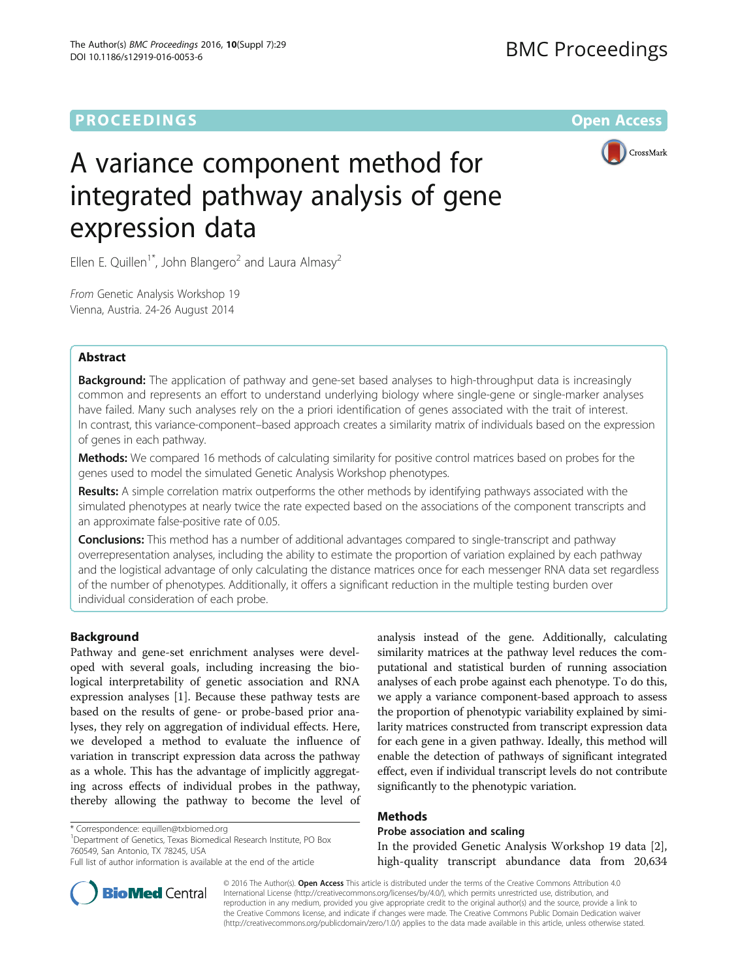# **PROCEEDINGS STATE ACCESS CONSUMING S** Open Access



# A variance component method for integrated pathway analysis of gene expression data

Ellen E. Quillen<sup>1\*</sup>, John Blangero<sup>2</sup> and Laura Almasy<sup>2</sup>

From Genetic Analysis Workshop 19 Vienna, Austria. 24-26 August 2014

# Abstract

**Background:** The application of pathway and gene-set based analyses to high-throughput data is increasingly common and represents an effort to understand underlying biology where single-gene or single-marker analyses have failed. Many such analyses rely on the a priori identification of genes associated with the trait of interest. In contrast, this variance-component–based approach creates a similarity matrix of individuals based on the expression of genes in each pathway.

Methods: We compared 16 methods of calculating similarity for positive control matrices based on probes for the genes used to model the simulated Genetic Analysis Workshop phenotypes.

Results: A simple correlation matrix outperforms the other methods by identifying pathways associated with the simulated phenotypes at nearly twice the rate expected based on the associations of the component transcripts and an approximate false-positive rate of 0.05.

**Conclusions:** This method has a number of additional advantages compared to single-transcript and pathway overrepresentation analyses, including the ability to estimate the proportion of variation explained by each pathway and the logistical advantage of only calculating the distance matrices once for each messenger RNA data set regardless of the number of phenotypes. Additionally, it offers a significant reduction in the multiple testing burden over individual consideration of each probe.

# Background

Pathway and gene-set enrichment analyses were developed with several goals, including increasing the biological interpretability of genetic association and RNA expression analyses [[1](#page-4-0)]. Because these pathway tests are based on the results of gene- or probe-based prior analyses, they rely on aggregation of individual effects. Here, we developed a method to evaluate the influence of variation in transcript expression data across the pathway as a whole. This has the advantage of implicitly aggregating across effects of individual probes in the pathway, thereby allowing the pathway to become the level of

\* Correspondence: [equillen@txbiomed.org](mailto:equillen@txbiomed.org) <sup>1</sup>

<sup>1</sup>Department of Genetics, Texas Biomedical Research Institute, PO Box 760549, San Antonio, TX 78245, USA

analysis instead of the gene. Additionally, calculating similarity matrices at the pathway level reduces the computational and statistical burden of running association analyses of each probe against each phenotype. To do this, we apply a variance component-based approach to assess the proportion of phenotypic variability explained by similarity matrices constructed from transcript expression data for each gene in a given pathway. Ideally, this method will enable the detection of pathways of significant integrated effect, even if individual transcript levels do not contribute significantly to the phenotypic variation.

#### Methods

### Probe association and scaling

In the provided Genetic Analysis Workshop 19 data [\[2](#page-4-0)], high-quality transcript abundance data from 20,634



© 2016 The Author(s). Open Access This article is distributed under the terms of the Creative Commons Attribution 4.0 International License [\(http://creativecommons.org/licenses/by/4.0/](http://creativecommons.org/licenses/by/4.0/)), which permits unrestricted use, distribution, and reproduction in any medium, provided you give appropriate credit to the original author(s) and the source, provide a link to the Creative Commons license, and indicate if changes were made. The Creative Commons Public Domain Dedication waiver [\(http://creativecommons.org/publicdomain/zero/1.0/](http://creativecommons.org/publicdomain/zero/1.0/)) applies to the data made available in this article, unless otherwise stated.

Full list of author information is available at the end of the article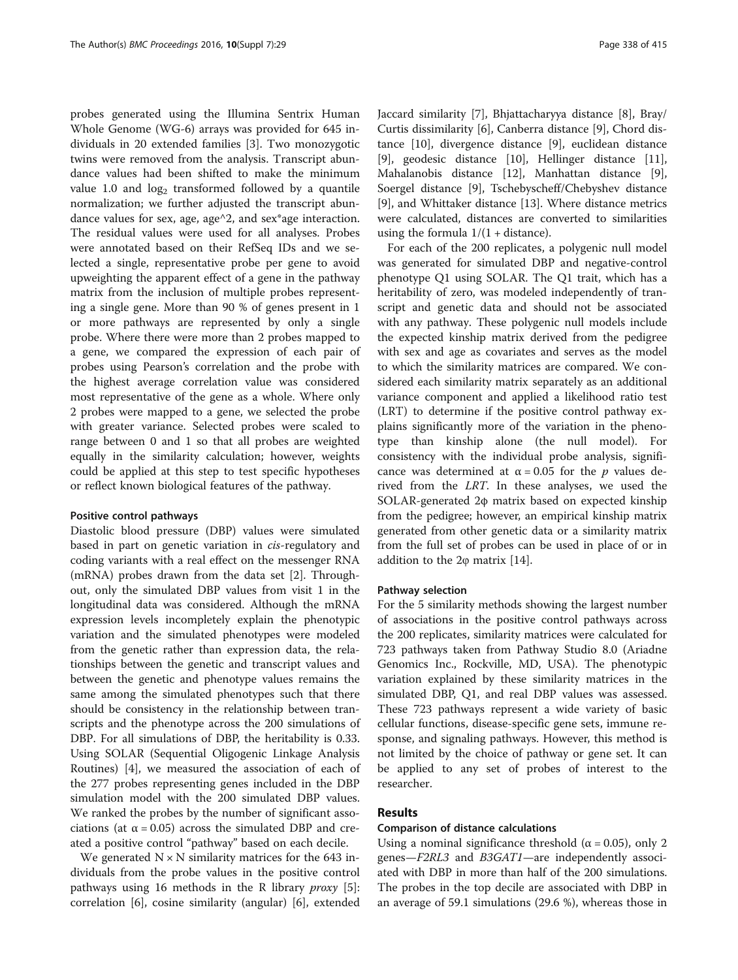probes generated using the Illumina Sentrix Human Whole Genome (WG-6) arrays was provided for 645 individuals in 20 extended families [[3](#page-4-0)]. Two monozygotic twins were removed from the analysis. Transcript abundance values had been shifted to make the minimum value 1.0 and  $log<sub>2</sub>$  transformed followed by a quantile normalization; we further adjusted the transcript abundance values for sex, age, age^2, and sex\*age interaction. The residual values were used for all analyses. Probes were annotated based on their RefSeq IDs and we selected a single, representative probe per gene to avoid upweighting the apparent effect of a gene in the pathway matrix from the inclusion of multiple probes representing a single gene. More than 90 % of genes present in 1 or more pathways are represented by only a single probe. Where there were more than 2 probes mapped to a gene, we compared the expression of each pair of probes using Pearson's correlation and the probe with the highest average correlation value was considered most representative of the gene as a whole. Where only 2 probes were mapped to a gene, we selected the probe with greater variance. Selected probes were scaled to range between 0 and 1 so that all probes are weighted equally in the similarity calculation; however, weights could be applied at this step to test specific hypotheses or reflect known biological features of the pathway.

#### Positive control pathways

Diastolic blood pressure (DBP) values were simulated based in part on genetic variation in cis-regulatory and coding variants with a real effect on the messenger RNA (mRNA) probes drawn from the data set [[2\]](#page-4-0). Throughout, only the simulated DBP values from visit 1 in the longitudinal data was considered. Although the mRNA expression levels incompletely explain the phenotypic variation and the simulated phenotypes were modeled from the genetic rather than expression data, the relationships between the genetic and transcript values and between the genetic and phenotype values remains the same among the simulated phenotypes such that there should be consistency in the relationship between transcripts and the phenotype across the 200 simulations of DBP. For all simulations of DBP, the heritability is 0.33. Using SOLAR (Sequential Oligogenic Linkage Analysis Routines) [[4\]](#page-4-0), we measured the association of each of the 277 probes representing genes included in the DBP simulation model with the 200 simulated DBP values. We ranked the probes by the number of significant associations (at  $\alpha$  = 0.05) across the simulated DBP and created a positive control "pathway" based on each decile.

We generated  $N \times N$  similarity matrices for the 643 individuals from the probe values in the positive control pathways using 16 methods in the R library *proxy* [\[5](#page-4-0)]: correlation [[6](#page-4-0)], cosine similarity (angular) [\[6\]](#page-4-0), extended Jaccard similarity [\[7](#page-4-0)], Bhjattacharyya distance [\[8](#page-4-0)], Bray/ Curtis dissimilarity [\[6](#page-4-0)], Canberra distance [\[9](#page-4-0)], Chord distance [[10\]](#page-4-0), divergence distance [[9\]](#page-4-0), euclidean distance [[9\]](#page-4-0), geodesic distance [[10](#page-4-0)], Hellinger distance [\[11](#page-4-0)], Mahalanobis distance [[12\]](#page-5-0), Manhattan distance [\[9](#page-4-0)], Soergel distance [\[9](#page-4-0)], Tschebyscheff/Chebyshev distance [[9\]](#page-4-0), and Whittaker distance [\[13\]](#page-5-0). Where distance metrics were calculated, distances are converted to similarities using the formula  $1/(1 + \text{distance})$ .

For each of the 200 replicates, a polygenic null model was generated for simulated DBP and negative-control phenotype Q1 using SOLAR. The Q1 trait, which has a heritability of zero, was modeled independently of transcript and genetic data and should not be associated with any pathway. These polygenic null models include the expected kinship matrix derived from the pedigree with sex and age as covariates and serves as the model to which the similarity matrices are compared. We considered each similarity matrix separately as an additional variance component and applied a likelihood ratio test (LRT) to determine if the positive control pathway explains significantly more of the variation in the phenotype than kinship alone (the null model). For consistency with the individual probe analysis, significance was determined at  $\alpha = 0.05$  for the p values derived from the LRT. In these analyses, we used the SOLAR-generated 2φ matrix based on expected kinship from the pedigree; however, an empirical kinship matrix generated from other genetic data or a similarity matrix from the full set of probes can be used in place of or in addition to the 2φ matrix [[14\]](#page-5-0).

#### Pathway selection

For the 5 similarity methods showing the largest number of associations in the positive control pathways across the 200 replicates, similarity matrices were calculated for 723 pathways taken from Pathway Studio 8.0 (Ariadne Genomics Inc., Rockville, MD, USA). The phenotypic variation explained by these similarity matrices in the simulated DBP, Q1, and real DBP values was assessed. These 723 pathways represent a wide variety of basic cellular functions, disease-specific gene sets, immune response, and signaling pathways. However, this method is not limited by the choice of pathway or gene set. It can be applied to any set of probes of interest to the researcher.

#### Results

#### Comparison of distance calculations

Using a nominal significance threshold ( $\alpha$  = 0.05), only 2 genes—F2RL3 and B3GAT1—are independently associated with DBP in more than half of the 200 simulations. The probes in the top decile are associated with DBP in an average of 59.1 simulations (29.6 %), whereas those in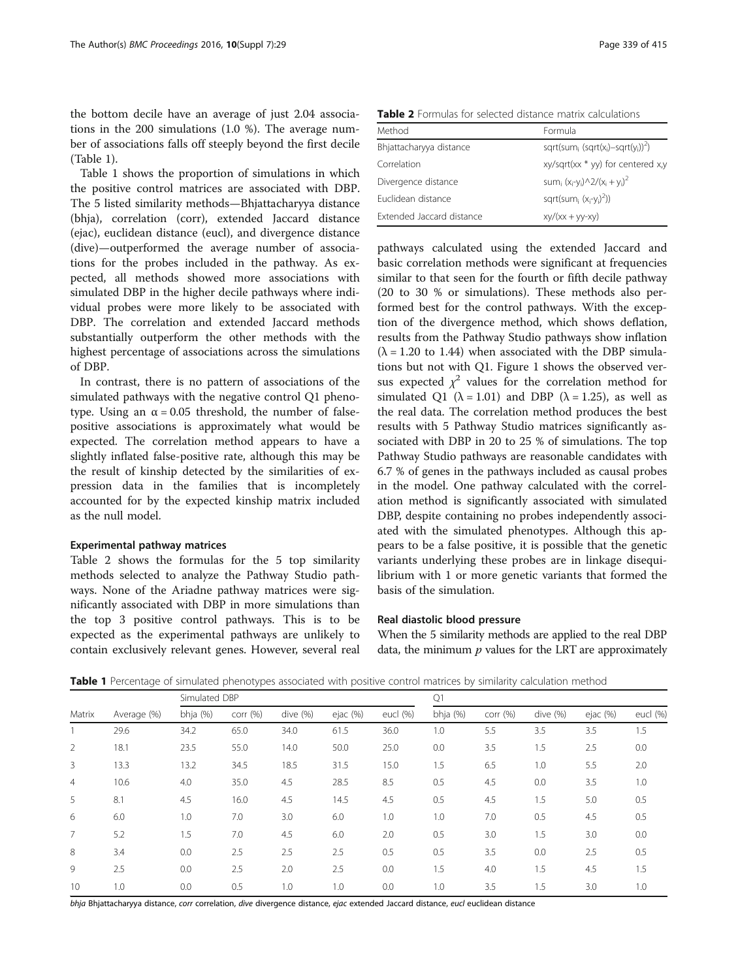the bottom decile have an average of just 2.04 associations in the 200 simulations (1.0 %). The average number of associations falls off steeply beyond the first decile (Table 1).

Table 1 shows the proportion of simulations in which the positive control matrices are associated with DBP. The 5 listed similarity methods—Bhjattacharyya distance (bhja), correlation (corr), extended Jaccard distance (ejac), euclidean distance (eucl), and divergence distance (dive)—outperformed the average number of associations for the probes included in the pathway. As expected, all methods showed more associations with simulated DBP in the higher decile pathways where individual probes were more likely to be associated with DBP. The correlation and extended Jaccard methods substantially outperform the other methods with the highest percentage of associations across the simulations of DBP.

In contrast, there is no pattern of associations of the simulated pathways with the negative control Q1 phenotype. Using an  $\alpha = 0.05$  threshold, the number of falsepositive associations is approximately what would be expected. The correlation method appears to have a slightly inflated false-positive rate, although this may be the result of kinship detected by the similarities of expression data in the families that is incompletely accounted for by the expected kinship matrix included as the null model.

#### Experimental pathway matrices

Table 2 shows the formulas for the 5 top similarity methods selected to analyze the Pathway Studio pathways. None of the Ariadne pathway matrices were significantly associated with DBP in more simulations than the top 3 positive control pathways. This is to be expected as the experimental pathways are unlikely to contain exclusively relevant genes. However, several real

Table 2 Formulas for selected distance matrix calculations

| Method                    | Formula                                                                            |
|---------------------------|------------------------------------------------------------------------------------|
| Bhjattacharyya distance   | sqrt(sum <sub>i</sub> (sqrt(x <sub>i</sub> )-sqrt(y <sub>i</sub> )) <sup>2</sup> ) |
| Correlation               | xy/sqrt(xx * yy) for centered x,y                                                  |
| Divergence distance       | sum <sub>i</sub> $(x_i-y_i)^2/2/(x_i+y_i)^2$                                       |
| Fuclidean distance        | sqrt(sum <sub>i</sub> $(x_i-y_i)^2$ )                                              |
| Extended Jaccard distance | $xy/(xx + yy - xy)$                                                                |

pathways calculated using the extended Jaccard and basic correlation methods were significant at frequencies similar to that seen for the fourth or fifth decile pathway (20 to 30 % or simulations). These methods also performed best for the control pathways. With the exception of the divergence method, which shows deflation, results from the Pathway Studio pathways show inflation  $(\lambda = 1.20 \text{ to } 1.44)$  when associated with the DBP simulations but not with Q1. Figure [1](#page-3-0) shows the observed versus expected  $\chi^2$  values for the correlation method for simulated Q1 ( $\lambda$  = 1.01) and DBP ( $\lambda$  = 1.25), as well as the real data. The correlation method produces the best results with 5 Pathway Studio matrices significantly associated with DBP in 20 to 25 % of simulations. The top Pathway Studio pathways are reasonable candidates with 6.7 % of genes in the pathways included as causal probes in the model. One pathway calculated with the correlation method is significantly associated with simulated DBP, despite containing no probes independently associated with the simulated phenotypes. Although this appears to be a false positive, it is possible that the genetic variants underlying these probes are in linkage disequilibrium with 1 or more genetic variants that formed the basis of the simulation.

#### Real diastolic blood pressure

When the 5 similarity methods are applied to the real DBP data, the minimum  $p$  values for the LRT are approximately

Table 1 Percentage of simulated phenotypes associated with positive control matrices by similarity calculation method

| Matrix         | Average (%) | Simulated DBP |         |             |          | Q1       |          |         |            |          |          |
|----------------|-------------|---------------|---------|-------------|----------|----------|----------|---------|------------|----------|----------|
|                |             | bhja (%)      | corr(%) | dive $(% )$ | ejac (%) | eucl (%) | bhja (%) | corr(%) | dive $(%)$ | ejac (%) | eucl (%) |
|                | 29.6        | 34.2          | 65.0    | 34.0        | 61.5     | 36.0     | 1.0      | 5.5     | 3.5        | 3.5      | 1.5      |
| $\overline{2}$ | 18.1        | 23.5          | 55.0    | 14.0        | 50.0     | 25.0     | 0.0      | 3.5     | 1.5        | 2.5      | 0.0      |
| 3              | 13.3        | 13.2          | 34.5    | 18.5        | 31.5     | 15.0     | 1.5      | 6.5     | 1.0        | 5.5      | 2.0      |
| $\overline{4}$ | 10.6        | 4.0           | 35.0    | 4.5         | 28.5     | 8.5      | 0.5      | 4.5     | 0.0        | 3.5      | 1.0      |
| 5              | 8.1         | 4.5           | 16.0    | 4.5         | 14.5     | 4.5      | 0.5      | 4.5     | 1.5        | 5.0      | 0.5      |
| 6              | 6.0         | 1.0           | 7.0     | 3.0         | 6.0      | 1.0      | 1.0      | 7.0     | 0.5        | 4.5      | 0.5      |
| 7              | 5.2         | 1.5           | 7.0     | 4.5         | 6.0      | 2.0      | 0.5      | 3.0     | 1.5        | 3.0      | 0.0      |
| 8              | 3.4         | 0.0           | 2.5     | 2.5         | 2.5      | 0.5      | 0.5      | 3.5     | 0.0        | 2.5      | 0.5      |
| 9              | 2.5         | 0.0           | 2.5     | 2.0         | 2.5      | 0.0      | 1.5      | 4.0     | 1.5        | 4.5      | 1.5      |
| 10             | 1.0         | 0.0           | 0.5     | 1.0         | 1.0      | 0.0      | 1.0      | 3.5     | 1.5        | 3.0      | 1.0      |

bhja Bhjattacharyya distance, corr correlation, dive divergence distance, ejac extended Jaccard distance, eucl euclidean distance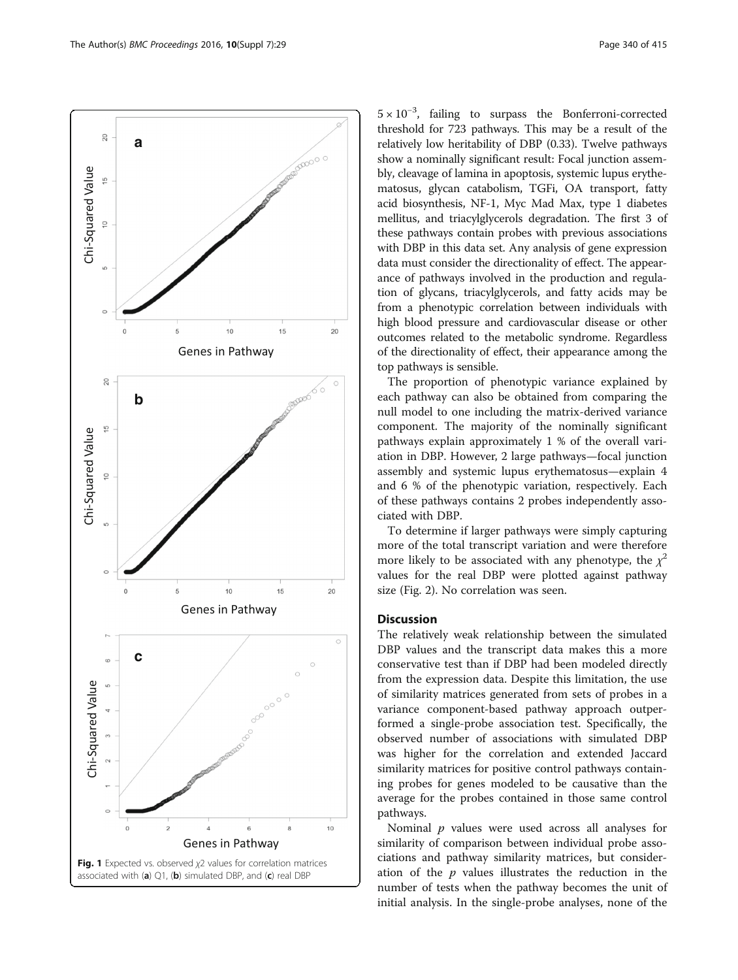<span id="page-3-0"></span>

 $5 \times 10^{-3}$ , failing to surpass the Bonferroni-corrected threshold for 723 pathways. This may be a result of the relatively low heritability of DBP (0.33). Twelve pathways show a nominally significant result: Focal junction assembly, cleavage of lamina in apoptosis, systemic lupus erythematosus, glycan catabolism, TGFi, OA transport, fatty acid biosynthesis, NF-1, Myc Mad Max, type 1 diabetes mellitus, and triacylglycerols degradation. The first 3 of these pathways contain probes with previous associations with DBP in this data set. Any analysis of gene expression data must consider the directionality of effect. The appearance of pathways involved in the production and regulation of glycans, triacylglycerols, and fatty acids may be from a phenotypic correlation between individuals with high blood pressure and cardiovascular disease or other outcomes related to the metabolic syndrome. Regardless of the directionality of effect, their appearance among the top pathways is sensible.

The proportion of phenotypic variance explained by each pathway can also be obtained from comparing the null model to one including the matrix-derived variance component. The majority of the nominally significant pathways explain approximately 1 % of the overall variation in DBP. However, 2 large pathways—focal junction assembly and systemic lupus erythematosus—explain 4 and 6 % of the phenotypic variation, respectively. Each of these pathways contains 2 probes independently associated with DBP.

To determine if larger pathways were simply capturing more of the total transcript variation and were therefore more likely to be associated with any phenotype, the  $\chi^2$ values for the real DBP were plotted against pathway size (Fig. [2](#page-4-0)). No correlation was seen.

#### **Discussion**

The relatively weak relationship between the simulated DBP values and the transcript data makes this a more conservative test than if DBP had been modeled directly from the expression data. Despite this limitation, the use of similarity matrices generated from sets of probes in a variance component-based pathway approach outperformed a single-probe association test. Specifically, the observed number of associations with simulated DBP was higher for the correlation and extended Jaccard similarity matrices for positive control pathways containing probes for genes modeled to be causative than the average for the probes contained in those same control pathways.

Nominal  $p$  values were used across all analyses for similarity of comparison between individual probe associations and pathway similarity matrices, but consideration of the  $p$  values illustrates the reduction in the number of tests when the pathway becomes the unit of initial analysis. In the single-probe analyses, none of the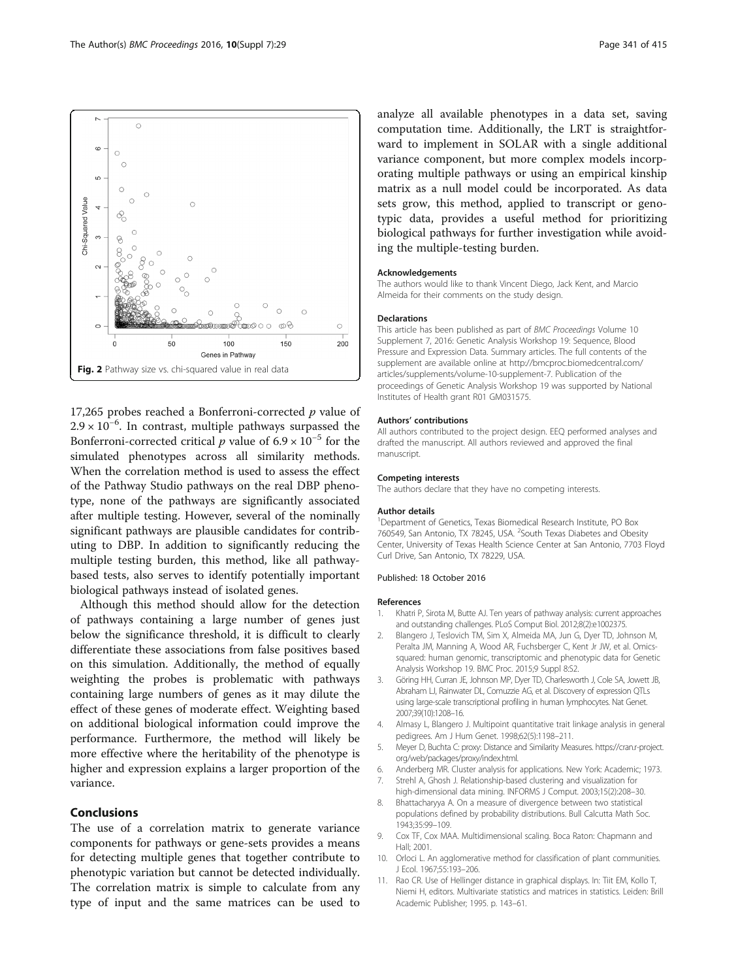<span id="page-4-0"></span>

17,265 probes reached a Bonferroni-corrected  $p$  value of  $2.9 \times 10^{-6}$ . In contrast, multiple pathways surpassed the Bonferroni-corrected critical *p* value of  $6.9 \times 10^{-5}$  for the simulated phenotypes across all similarity methods. When the correlation method is used to assess the effect of the Pathway Studio pathways on the real DBP phenotype, none of the pathways are significantly associated after multiple testing. However, several of the nominally significant pathways are plausible candidates for contributing to DBP. In addition to significantly reducing the multiple testing burden, this method, like all pathwaybased tests, also serves to identify potentially important biological pathways instead of isolated genes.

Although this method should allow for the detection of pathways containing a large number of genes just below the significance threshold, it is difficult to clearly differentiate these associations from false positives based on this simulation. Additionally, the method of equally weighting the probes is problematic with pathways containing large numbers of genes as it may dilute the effect of these genes of moderate effect. Weighting based on additional biological information could improve the performance. Furthermore, the method will likely be more effective where the heritability of the phenotype is higher and expression explains a larger proportion of the variance.

#### Conclusions

The use of a correlation matrix to generate variance components for pathways or gene-sets provides a means for detecting multiple genes that together contribute to phenotypic variation but cannot be detected individually. The correlation matrix is simple to calculate from any type of input and the same matrices can be used to

analyze all available phenotypes in a data set, saving computation time. Additionally, the LRT is straightforward to implement in SOLAR with a single additional variance component, but more complex models incorporating multiple pathways or using an empirical kinship matrix as a null model could be incorporated. As data sets grow, this method, applied to transcript or genotypic data, provides a useful method for prioritizing biological pathways for further investigation while avoiding the multiple-testing burden.

#### Acknowledgements

The authors would like to thank Vincent Diego, Jack Kent, and Marcio Almeida for their comments on the study design.

#### **Declarations**

This article has been published as part of BMC Proceedings Volume 10 Supplement 7, 2016: Genetic Analysis Workshop 19: Sequence, Blood Pressure and Expression Data. Summary articles. The full contents of the supplement are available online at [http://bmcproc.biomedcentral.com/](http://bmcproc.biomedcentral.com/articles/supplements/volume-10-supplement-7) [articles/supplements/volume-10-supplement-7.](http://bmcproc.biomedcentral.com/articles/supplements/volume-10-supplement-7) Publication of the proceedings of Genetic Analysis Workshop 19 was supported by National Institutes of Health grant R01 GM031575.

#### Authors' contributions

All authors contributed to the project design. EEQ performed analyses and drafted the manuscript. All authors reviewed and approved the final manuscript.

#### Competing interests

The authors declare that they have no competing interests.

#### Author details

<sup>1</sup>Department of Genetics, Texas Biomedical Research Institute, PO Box 760549, San Antonio, TX 78245, USA. <sup>2</sup>South Texas Diabetes and Obesity Center, University of Texas Health Science Center at San Antonio, 7703 Floyd Curl Drive, San Antonio, TX 78229, USA.

#### Published: 18 October 2016

#### References

- 1. Khatri P, Sirota M, Butte AJ. Ten years of pathway analysis: current approaches and outstanding challenges. PLoS Comput Biol. 2012;8(2):e1002375.
- 2. Blangero J, Teslovich TM, Sim X, Almeida MA, Jun G, Dyer TD, Johnson M, Peralta JM, Manning A, Wood AR, Fuchsberger C, Kent Jr JW, et al. Omicssquared: human genomic, transcriptomic and phenotypic data for Genetic Analysis Workshop 19. BMC Proc. 2015;9 Suppl 8:S2.
- 3. Göring HH, Curran JE, Johnson MP, Dyer TD, Charlesworth J, Cole SA, Jowett JB, Abraham LJ, Rainwater DL, Comuzzie AG, et al. Discovery of expression QTLs using large-scale transcriptional profiling in human lymphocytes. Nat Genet. 2007;39(10):1208–16.
- 4. Almasy L, Blangero J. Multipoint quantitative trait linkage analysis in general pedigrees. Am J Hum Genet. 1998;62(5):1198–211.
- 5. Meyer D, Buchta C: proxy: Distance and Similarity Measures. [https://cran.r-project.](https://cran.r-project.org/web/packages/proxy/index.html) [org/web/packages/proxy/index.html](https://cran.r-project.org/web/packages/proxy/index.html).
- 6. Anderberg MR. Cluster analysis for applications. New York: Academic; 1973.
- Strehl A, Ghosh J. Relationship-based clustering and visualization for high-dimensional data mining. INFORMS J Comput. 2003;15(2):208–30.
- 8. Bhattacharyya A. On a measure of divergence between two statistical populations defined by probability distributions. Bull Calcutta Math Soc. 1943;35:99–109.
- 9. Cox TF, Cox MAA. Multidimensional scaling. Boca Raton: Chapmann and Hall; 2001.
- 10. Orloci L. An agglomerative method for classification of plant communities. J Ecol. 1967;55:193–206.
- 11. Rao CR. Use of Hellinger distance in graphical displays. In: Tiit EM, Kollo T, Niemi H, editors. Multivariate statistics and matrices in statistics. Leiden: Brill Academic Publisher; 1995. p. 143–61.